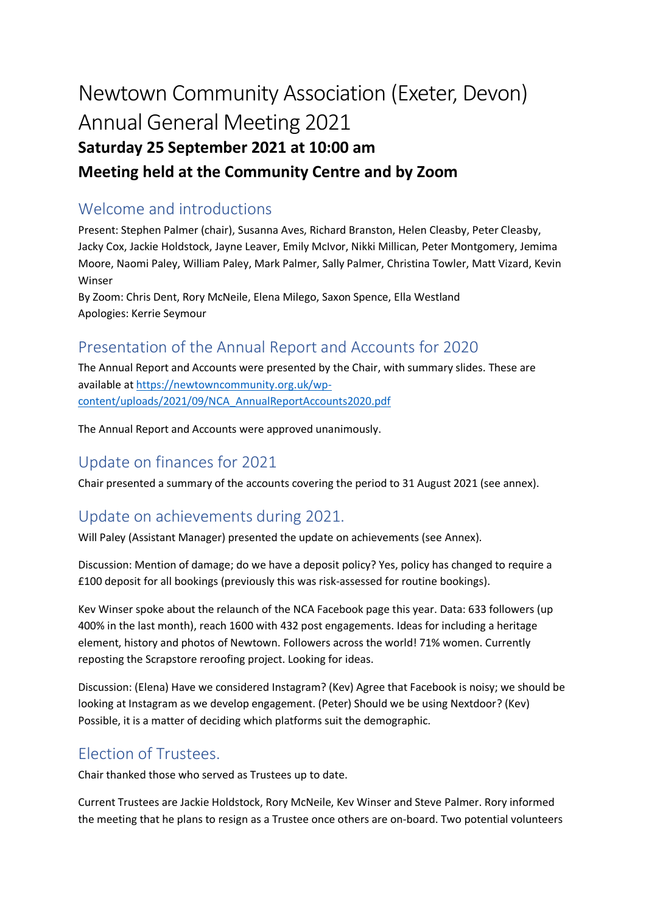# Newtown Community Association (Exeter, Devon) Annual General Meeting 2021 **Saturday 25 September 2021 at 10:00 am**

#### **Meeting held at the Community Centre and by Zoom**

### Welcome and introductions

Present: Stephen Palmer (chair), Susanna Aves, Richard Branston, Helen Cleasby, Peter Cleasby, Jacky Cox, Jackie Holdstock, Jayne Leaver, Emily McIvor, Nikki Millican, Peter Montgomery, Jemima Moore, Naomi Paley, William Paley, Mark Palmer, Sally Palmer, Christina Towler, Matt Vizard, Kevin Winser

By Zoom: Chris Dent, Rory McNeile, Elena Milego, Saxon Spence, Ella Westland Apologies: Kerrie Seymour

## Presentation of the Annual Report and Accounts for 2020

The Annual Report and Accounts were presented by the Chair, with summary slides. These are available a[t https://newtowncommunity.org.uk/wp](https://newtowncommunity.org.uk/wp-content/uploads/2021/09/NCA_AnnualReportAccounts2020.pdf)[content/uploads/2021/09/NCA\\_AnnualReportAccounts2020.pdf](https://newtowncommunity.org.uk/wp-content/uploads/2021/09/NCA_AnnualReportAccounts2020.pdf)

The Annual Report and Accounts were approved unanimously.

#### Update on finances for 2021

Chair presented a summary of the accounts covering the period to 31 August 2021 (see annex).

#### Update on achievements during 2021.

Will Paley (Assistant Manager) presented the update on achievements (see Annex).

Discussion: Mention of damage; do we have a deposit policy? Yes, policy has changed to require a £100 deposit for all bookings (previously this was risk-assessed for routine bookings).

Kev Winser spoke about the relaunch of the NCA Facebook page this year. Data: 633 followers (up 400% in the last month), reach 1600 with 432 post engagements. Ideas for including a heritage element, history and photos of Newtown. Followers across the world! 71% women. Currently reposting the Scrapstore reroofing project. Looking for ideas.

Discussion: (Elena) Have we considered Instagram? (Kev) Agree that Facebook is noisy; we should be looking at Instagram as we develop engagement. (Peter) Should we be using Nextdoor? (Kev) Possible, it is a matter of deciding which platforms suit the demographic.

## Election of Trustees.

Chair thanked those who served as Trustees up to date.

Current Trustees are Jackie Holdstock, Rory McNeile, Kev Winser and Steve Palmer. Rory informed the meeting that he plans to resign as a Trustee once others are on-board. Two potential volunteers